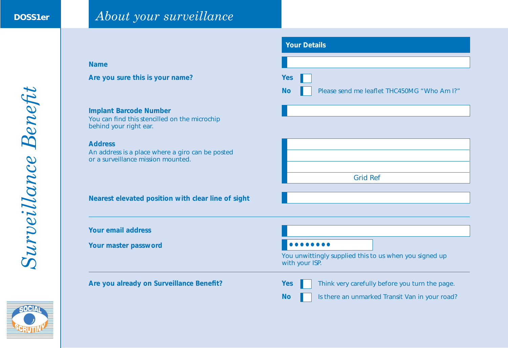# **DOSS1er** *About your surveillance*

|                                                                                                          | <b>Your Details</b>                                                                                                         |  |  |
|----------------------------------------------------------------------------------------------------------|-----------------------------------------------------------------------------------------------------------------------------|--|--|
| <b>Name</b>                                                                                              |                                                                                                                             |  |  |
| Are you sure this is your name?                                                                          | <b>Yes</b><br>Please send me leaflet THC450MG "Who Am I?"<br><b>No</b>                                                      |  |  |
| <b>Implant Barcode Number</b><br>You can find this stencilled on the microchip<br>behind your right ear. |                                                                                                                             |  |  |
| <b>Address</b><br>An address is a place where a giro can be posted<br>or a surveillance mission mounted. |                                                                                                                             |  |  |
|                                                                                                          | <b>Grid Ref</b>                                                                                                             |  |  |
| Nearest elevated position with clear line of sight                                                       |                                                                                                                             |  |  |
| <b>Your email address</b>                                                                                |                                                                                                                             |  |  |
| Your master password                                                                                     | You unwittingly supplied this to us when you signed up<br>with your ISP.                                                    |  |  |
| Are you already on Surveillance Benefit?                                                                 | Think very carefully before you turn the page.<br><b>Yes</b><br>Is there an unmarked Transit Van in your road?<br><b>No</b> |  |  |

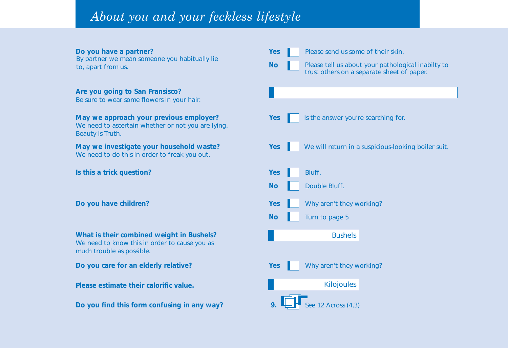# *About you and your feckless lifestyle*

By partner we mean someone you habitually lie

# **Are you going to San Fransisco?**

Be sure to wear some flowers in your hair.

# **May we approach your previous employer?** Yes Is the answer you're searching for.

We need to ascertain whether or not you are lying. Beauty is Truth.

We need to do this in order to freak you out.

**Is this a trick question?** The *Yes* Bluff.

**What is their combined weight in Bushels?** We need to know this in order to cause you as much trouble as possible.

**Do you care for an elderly relative?** The May 2008 **Yes** Why aren't they working?

**Please estimate their calorific value.**

**Do you find this form confusing in any way?** 9.  $\Box$  See 12 Across (4.3)

**No**

**Do you have a partner?** The sense of their skin.

to, apart from us. Please tell us about your pathological inabilty to apart from us. trust others on a separate sheet of paper.

**May we investigate your household waste?** Yes We will return in a suspicious-looking boiler suit.

- 
- **No** Double Bluff.
- **Do you have children?** The Matter of the Why aren't they working?
	- **No** Turn to page 5

**Bushels** 

**Kilojoules**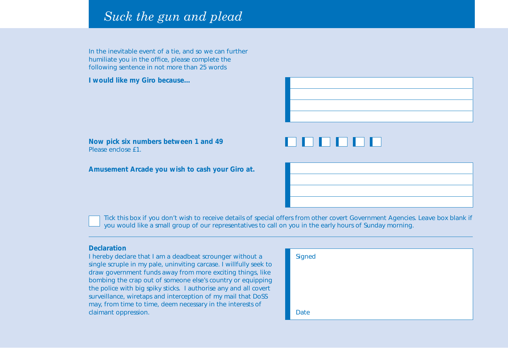# *Suck the gun and plead*

In the inevitable event of a tie, and so we can further humiliate you in the office, please complete the following sentence in not more than 25 words

**I would like my Giro because…**



# 19 H H H H

**Amusement Arcade you wish to cash your Giro at.**



Tick this box if you don't wish to receive details of special offers from other covert Government Agencies. Leave box blank if you would like a small group of our representatives to call on you in the early hours of Sunday morning.

## **Declaration**

I hereby declare that I am a deadbeat scrounger without a single scruple in my pale, uninviting carcase. I willfully seek to draw government funds away from more exciting things, like bombing the crap out of someone else's country or equipping the police with big spiky sticks. I authorise any and all covert surveillance, wiretaps and interception of my mail that DoSS may, from time to time, deem necessary in the interests of claimant oppression.

| Signed |  |  |
|--------|--|--|
|        |  |  |
|        |  |  |
|        |  |  |
| Date   |  |  |